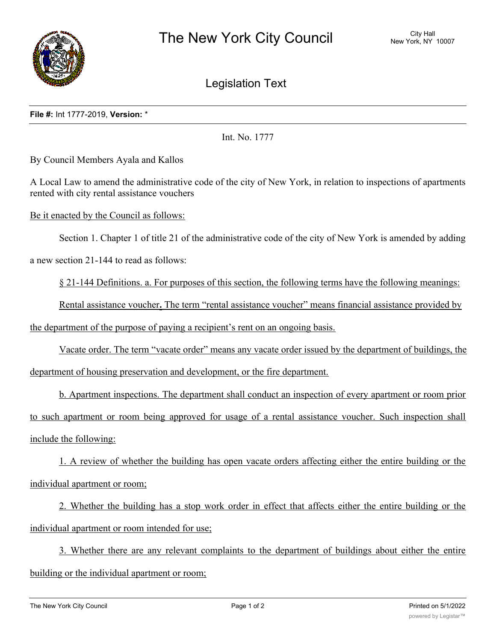

Legislation Text

## **File #:** Int 1777-2019, **Version:** \*

Int. No. 1777

By Council Members Ayala and Kallos

A Local Law to amend the administrative code of the city of New York, in relation to inspections of apartments rented with city rental assistance vouchers

Be it enacted by the Council as follows:

Section 1. Chapter 1 of title 21 of the administrative code of the city of New York is amended by adding

a new section 21-144 to read as follows:

§ 21-144 Definitions. a. For purposes of this section, the following terms have the following meanings:

Rental assistance voucher**.** The term "rental assistance voucher" means financial assistance provided by the department of the purpose of paying a recipient's rent on an ongoing basis.

Vacate order. The term "vacate order" means any vacate order issued by the department of buildings, the department of housing preservation and development, or the fire department.

b. Apartment inspections. The department shall conduct an inspection of every apartment or room prior to such apartment or room being approved for usage of a rental assistance voucher. Such inspection shall include the following:

1. A review of whether the building has open vacate orders affecting either the entire building or the individual apartment or room;

2. Whether the building has a stop work order in effect that affects either the entire building or the individual apartment or room intended for use;

3. Whether there are any relevant complaints to the department of buildings about either the entire building or the individual apartment or room;

 $\mathcal{A}_\text{A}$  , where the unit appears to be a legal apartment as per its certificate of occupancy is super its certificate of occupancy is  $\mathcal{A}_\text{A}$